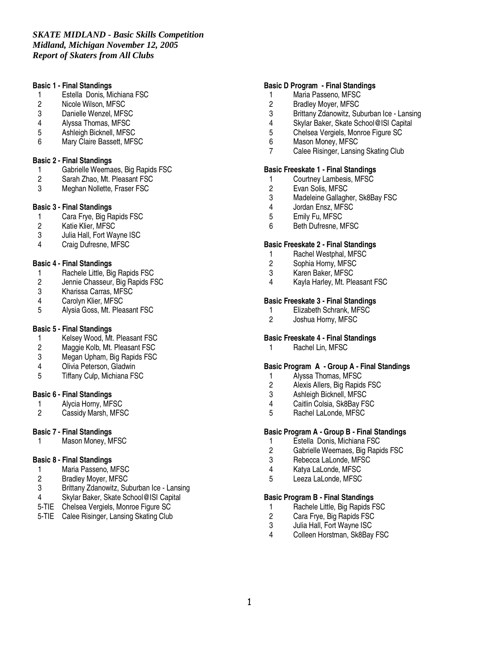#### **Basic 1 - Final Standings**

- 1 Estella Donis, Michiana FSC<br>2 Nicole Wilson, MFSC
- 2 Nicole Wilson, MFSC<br>3 Danielle Wenzel. MFS
- Danielle Wenzel, MFSC
- 4 Alyssa Thomas, MFSC<br>5 Ashleigh Bicknell, MFS
- 5 Ashleigh Bicknell, MFSC
- 6 Mary Claire Bassett, MFSC

## **Basic 2 - Final Standings**

- 1 Gabrielle Weemaes, Big Rapids FSC<br>2 Sarah Zhao, Mt. Pleasant FSC
- 2 Sarah Zhao, Mt. Pleasant FSC<br>3 Meghan Nollette, Fraser FSC
- Meghan Nollette, Fraser FSC

## **Basic 3 - Final Standings**

- 1 Cara Frye, Big Rapids FSC<br>2 Katie Klier. MFSC
- 2 Katie Klier, MFSC<br>3 Julia Hall, Fort Wa
- Julia Hall, Fort Wayne ISC
- 4 Craig Dufresne, MFSC

## **Basic 4 - Final Standings**

- 1 Rachele Little, Big Rapids FSC<br>2 Jennie Chasseur. Big Rapids F.
- 2 Jennie Chasseur, Big Rapids FSC<br>3 Kharissa Carras, MFSC
- 3 Kharissa Carras, MFSC<br>4 Carolyn Klier, MFSC
- Carolyn Klier, MFSC
- 5 Alysia Goss, Mt. Pleasant FSC

## **Basic 5 - Final Standings**

- 1 Kelsey Wood, Mt. Pleasant FSC<br>2 Maggie Kolb, Mt. Pleasant FSC
- 2 Maggie Kolb, Mt. Pleasant FSC<br>3 Megan Upham. Big Rapids FSC
- Megan Upham, Big Rapids FSC
- 4 Olivia Peterson, Gladwin
- 5 Tiffany Culp, Michiana FSC

#### **Basic 6 - Final Standings**

- 1 Alycia Horny, MFSC<br>2 Cassidy Marsh. MFS
- Cassidy Marsh, MFSC

## **Basic 7 - Final Standings**

1 Mason Money, MFSC

## **Basic 8 - Final Standings**

- 1 Maria Passeno, MFSC<br>2 Bradlev Mover. MFSC
- 2 Bradley Moyer, MFSC<br>3 Brittany Zdanowitz, Su
- Brittany Zdanowitz, Suburban Ice Lansing
- 4 Skylar Baker, Skate School@ISI Capital
- 5-TIE Chelsea Vergiels, Monroe Figure SC
- 5-TIE Calee Risinger, Lansing Skating Club

#### **Basic D Program - Final Standings**

- 1 Maria Passeno, MFSC<br>2 Bradlev Mover, MFSC
- 2 Bradley Moyer, MFSC<br>3 Brittany Zdanowitz, Su
- Brittany Zdanowitz, Suburban Ice Lansing
- 4 Skylar Baker, Skate School@ISI Capital
- 5 Chelsea Vergiels, Monroe Figure SC<br>6 Mason Monev. MFSC
- Mason Money, MFSC
- 7 Calee Risinger, Lansing Skating Club

#### **Basic Freeskate 1 - Final Standings**

- 1 Courtney Lambesis, MFSC<br>2 Evan Solis, MFSC
- 2 Evan Solis, MFSC<br>3 Madeleine Gallagh
- 3 Madeleine Gallagher, Sk8Bay FSC<br>4 Jordan Ensz. MFSC
- 4 Jordan Ensz, MFSC<br>5 Emily Fu. MFSC
- 5 Emily Fu, MFSC
- 6 Beth Dufresne, MFSC

#### **Basic Freeskate 2 - Final Standings**

- 1 Rachel Westphal, MFSC<br>2 Sophia Horny. MFSC
- Sophia Horny, MFSC
- 3 Karen Baker, MFSC
- 4 Kayla Harley, Mt. Pleasant FSC

#### **Basic Freeskate 3 - Final Standings**

- 1 Elizabeth Schrank, MFSC<br>2 Joshua Horny, MFSC
- Joshua Horny, MFSC

#### **Basic Freeskate 4 - Final Standings**

1 Rachel Lin, MFSC

#### **Basic Program A - Group A - Final Standings**

- 1 Alyssa Thomas, MFSC<br>2 Alexis Allers. Big Rapid
- 2 Alexis Allers, Big Rapids FSC<br>3 Ashleigh Bicknell, MFSC
- 
- 3 Ashleigh Bicknell, MFSC<br>4 Caitlin Colsia, Sk8Bay FS 4 Caitlin Colsia, Sk8Bay FSC
- 5 Rachel LaLonde, MFSC

## **Basic Program A - Group B - Final Standings**

- 1 Estella Donis, Michiana FSC<br>2 Gabrielle Weemaes. Big Rapi
- 2 Gabrielle Weemaes, Big Rapids FSC<br>3 Rebecca LaLonde, MFSC
- Rebecca LaLonde, MFSC
- 4 Katya LaLonde, MFSC<br>5 Leeza LaLonde MFSC
- Leeza LaLonde, MFSC

#### **Basic Program B - Final Standings**

- 1 Rachele Little, Big Rapids FSC<br>2 Cara Frye, Big Rapids FSC
- 2 Cara Frye, Big Rapids FSC
- 3 Julia Hall, Fort Wayne ISC<br>4 Colleen Horstman, Sk8Bay
- Colleen Horstman, Sk8Bay FSC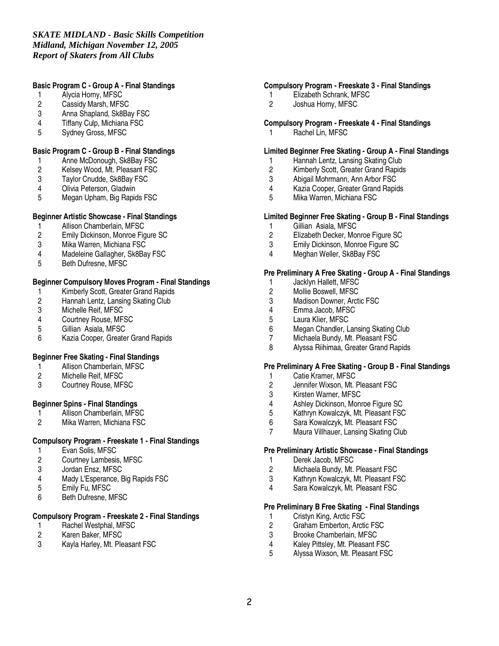# **Basic Program C - Group A - Final Standings**

- 1 Alycia Horny, MFSC<br>2 Cassidy Marsh, MFS
- 2 Cassidy Marsh, MFSC<br>3 Anna Shapland, Sk8Ba
- Anna Shapland, Sk8Bay FSC
- 4 Tiffany Culp, Michiana FSC<br>5 Sydney Gross. MFSC
- Sydney Gross, MFSC

## **Basic Program C - Group B - Final Standings**

- 1 Anne McDonough, Sk8Bay FSC<br>2 Kelsey Wood, Mt. Pleasant FSC
- 2 Kelsey Wood, Mt. Pleasant FSC<br>3 Taylor Cnudde, Sk8Bay FSC
- 3 Taylor Cnudde, Sk8Bay FSC
- 4 Olivia Peterson, Gladwin<br>5 Megan Upham, Big Rapic
- 5 Megan Upham, Big Rapids FSC

## **Beginner Artistic Showcase - Final Standings**

- 1 Allison Chamberlain, MFSC<br>2 Emily Dickinson, Monroe Fig
- 2 Emily Dickinson, Monroe Figure SC<br>3 Mika Warren, Michiana FSC
- Mika Warren, Michiana FSC
- 4 Madeleine Gallagher, Sk8Bay FSC<br>5 Beth Dufresne MFSC
- 5 Beth Dufresne, MFSC

# **Beginner Compulsory Moves Program - Final Standings**

- 1 Kimberly Scott, Greater Grand Rapids<br>2 Hannah Lentz, Lansing Skating Club
- 2 Hannah Lentz, Lansing Skating Club<br>3 Michelle Reif, MFSC
- 3 Michelle Reif, MFSC<br>4 Courtney Rouse, MF
- 4 Courtney Rouse, MFSC<br>5 Gillian Asiala. MFSC
- 5 Gillian Asiala, MFSC
- 6 Kazia Cooper, Greater Grand Rapids

## **Beginner Free Skating - Final Standings**

- 1 Allison Chamberlain, MFSC
- 2 Michelle Reif, MFSC<br>3 Courtney Rouse, MF
- Courtney Rouse, MFSC

## **Beginner Spins - Final Standings**

- 1 Allison Chamberlain, MFSC<br>2 Mika Warren. Michiana FSC
- 2 Mika Warren, Michiana FSC

## **Compulsory Program - Freeskate 1 - Final Standings**

- 
- 1 Evan Solis, MFSC<br>2 Courtney Lambesis 2 Courtney Lambesis, MFSC<br>3 Jordan Ensz. MFSC
- 
- 3 Jordan Ensz, MFSC<br>4 Madv L'Esperance. I 4 Mady L'Esperance, Big Rapids FSC
- Emily Fu, MFSC
- 6 Beth Dufresne, MFSC

# **Compulsory Program - Freeskate 2 - Final Standings**

- 1 Rachel Westphal, MFSC<br>2 Karen Baker, MFSC
- 2 Karen Baker, MFSC<br>3 Kavla Harlev, Mt. Ple
- Kayla Harley, Mt. Pleasant FSC

## **Compulsory Program - Freeskate 3 - Final Standings**

- 1 Elizabeth Schrank, MFSC<br>2 Joshua Hornv. MFSC
- Joshua Horny, MFSC

## **Compulsory Program - Freeskate 4 - Final Standings**

1 Rachel Lin, MFSC

#### **Limited Beginner Free Skating - Group A - Final Standings**

- 
- 1 Hannah Lentz, Lansing Skating Club<br>2 Kimberly Scott. Greater Grand Rapids
- 2 Kimberly Scott, Greater Grand Rapids<br>3 Abigail Mohrmann, Ann Arbor FSC
- 3 Abigail Mohrmann, Ann Arbor FSC 4 Kazia Cooper, Greater Grand Rapids<br>5 Mika Warren. Michiana FSC
- 5 Mika Warren, Michiana FSC

#### **Limited Beginner Free Skating - Group B - Final Standings**

- 1 Gillian Asiala, MFSC<br>2 Elizabeth Decker, Mor
- 2 Elizabeth Decker, Monroe Figure SC
- 3 Emily Dickinson, Monroe Figure SC
- 4 Meghan Weller, Sk8Bay FSC

#### **Pre Preliminary A Free Skating - Group A - Final Standings**

- 1 Jacklyn Hallett, MFSC<br>2 Mollie Boswell, MFSC
- 2 Mollie Boswell, MFSC<br>3 Madison Downer, Arct
- Madison Downer, Arctic FSC
- 4 Emma Jacob, MFSC<br>5 Laura Klier, MFSC
- 5 Laura Klier, MFSC<br>6 Megan Chandler, L
- 6 Megan Chandler, Lansing Skating Club<br>7 Michaela Bundy. Mt. Pleasant FSC
- Michaela Bundy, Mt. Pleasant FSC
- 8 Alyssa Riihimaa, Greater Grand Rapids

#### **Pre Preliminary A Free Skating - Group B - Final Standings**

- 
- 1 Catie Kramer, MFSC<br>2 Jennifer Wixson, Mt. I 2 Jennifer Wixson, Mt. Pleasant FSC<br>3 Kirsten Warner. MFSC
- 
- 3 Kirsten Warner, MFSC<br>4 Ashley Dickinson, Mon 4 Ashley Dickinson, Monroe Figure SC<br>5 Kathryn Kowalczyk, Mt. Pleasant FSC
- 5 Kathryn Kowalczyk, Mt. Pleasant FSC<br>6 Sara Kowalczyk. Mt. Pleasant FSC
- 6 Sara Kowalczyk, Mt. Pleasant FSC
- Maura Villhauer, Lansing Skating Club

#### **Pre Preliminary Artistic Showcase - Final Standings**

- 
- 1 Derek Jacob, MFSC<br>2 Michaela Bundy. Mt. 2 Michaela Bundy, Mt. Pleasant FSC<br>3 Kathryn Kowalczyk Mt Pleasant FS
- 3 Kathryn Kowalczyk, Mt. Pleasant FSC
- Sara Kowalczyk, Mt. Pleasant FSC

#### **Pre Preliminary B Free Skating - Final Standings**

- 1 Cristyn King, Arctic FSC<br>2 Graham Emberton, Arctic
- 2 Graham Emberton, Arctic FSC<br>3 Brooke Chamberlain, MFSC
- 3 Brooke Chamberlain, MFSC<br>4 Kalev Pittslev. Mt. Pleasant F
- 4 Kaley Pittsley, Mt. Pleasant FSC<br>5 Alyssa Wixson. Mt. Pleasant FSC
- 5 Alyssa Wixson, Mt. Pleasant FSC